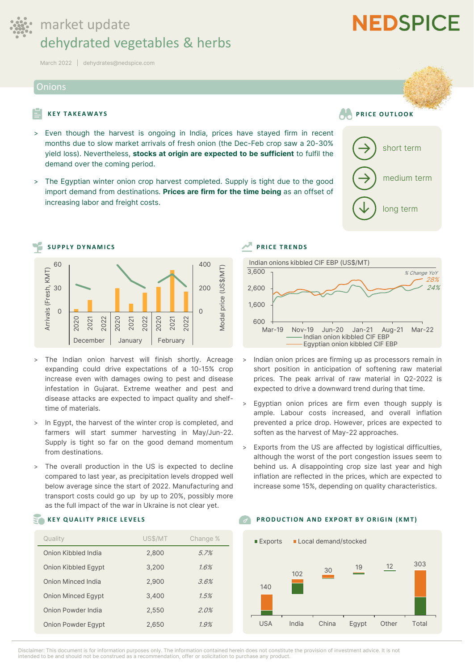

# market update dehydrated vegetables & herbs

**March 2022 | dehydrates@nedspice.com**

#### **Onions**

### **KEY TAKEAWAYS PRICE OUTLOOK**

- > **Even though the harvest is ongoing in India, prices have stayed firm in recent months due to slow market arrivals of fresh onion (the Dec-Feb crop saw a 20-30% yield loss). Nevertheless, stocks at origin are expected to be sufficient to fulfil the demand over the coming period.**
- > **The Egyptian winter onion crop harvest completed. Supply is tight due to the good import demand from destinations. Prices are firm for the time being as an offset of increasing labor and freight costs.**



- > **The Indian onion harvest will finish shortly. Acreage expanding could drive expectations of a 10-15% crop increase even with damages owing to pest and disease infestation in Gujarat. Extreme weather and pest and disease attacks are expected to impact quality and shelftime of materials.**
- > **In Egypt, the harvest of the winter crop is completed, and farmers will start summer harvesting in May/Jun-22. Supply is tight so far on the good demand momentum from destinations.**
- > **The overall production in the US is expected to decline compared to last year, as precipitation levels dropped well below average since the start of 2022. Manufacturing and transport costs could go up by up to 20%, possibly more as the full impact of the war in Ukraine is not clear yet.**

| Quality                   | US\$/MT | Change % |
|---------------------------|---------|----------|
| Onion Kibbled India       | 2,800   | 5.7%     |
| Onion Kibbled Egypt       | 3,200   | 1.6%     |
| Onion Minced India        | 2,900   | 3.6%     |
| <b>Onion Minced Eqypt</b> | 3,400   | 1.5%     |
| Onion Powder India        | 2,550   | 2.0%     |
| Onion Powder Egypt        | 2,650   | 1.9%     |



- > **Indian onion prices are firming up as processors remain in short position in anticipation of softening raw material prices. The peak arrival of raw material in Q2-2022 is expected to drive a downward trend during that time.**
- > **Egyptian onion prices are firm even though supply is ample. Labour costs increased, and overall inflation prevented a price drop. However, prices are expected to soften as the harvest of May-22 approaches.**
- > **Exports from the US are affected by logistical difficulties, although the worst of the port congestion issues seem to behind us. A disappointing crop size last year and high inflation are reflected in the prices, which are expected to increase some 15%, depending on quality characteristics.**

#### **KEY QUALITY PRICE LEVELS EXECUTE A RESIDENT ON A ND EXPORT BY ORIGIN (KMT)**



**→**

**→**

**↓**

short term

**NEDSPICE** 

medium term

long term

**Disclaimer: This document is for information purposes only. The information contained herein does not constitute the provision of investment advice. It is not** 

**intended to be and should not be construed as a recommendation, offer or solicitation to purchase any product.**